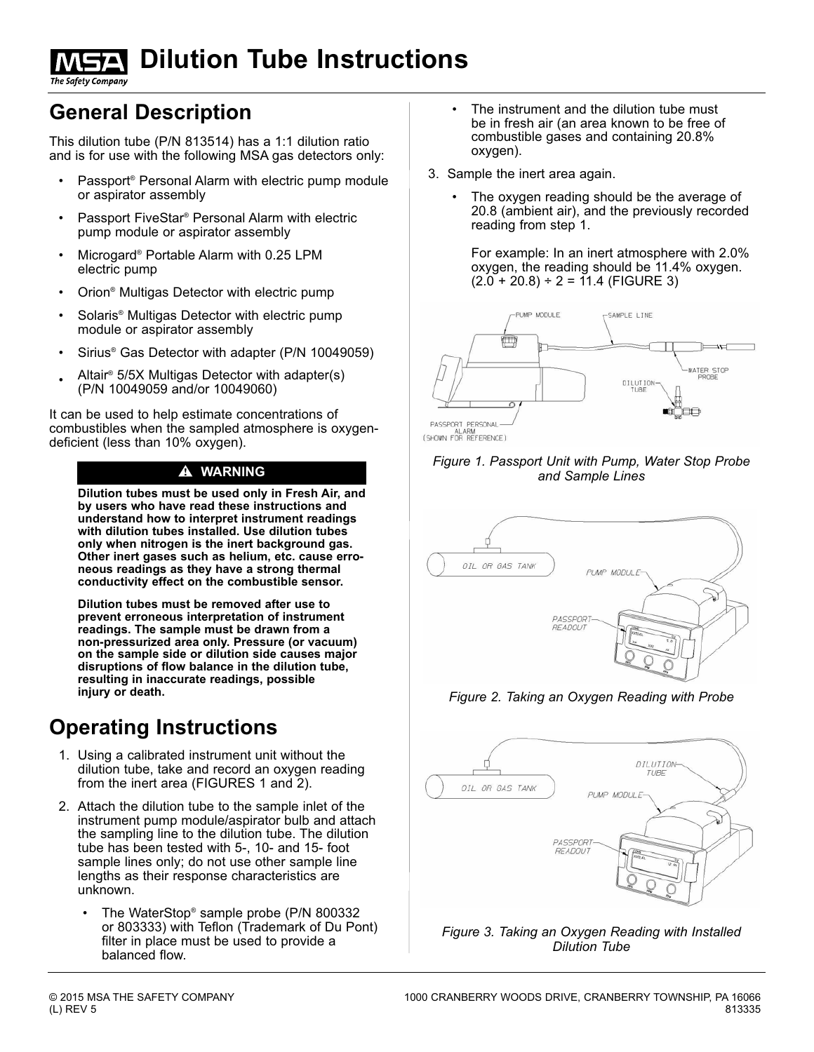# **Dilution Tube Instructions**

The Safety Company

### **General Description**

This dilution tube (P/N 813514) has a 1:1 dilution ratio and is for use with the following MSA gas detectors only:

- Passport<sup>®</sup> Personal Alarm with electric pump module or aspirator assembly
- Passport FiveStar® Personal Alarm with electric pump module or aspirator assembly
- Microgard® Portable Alarm with 0.25 LPM electric pump
- Orion® Multigas Detector with electric pump
- Solaris® Multigas Detector with electric pump module or aspirator assembly
- Sirius<sup>®</sup> Gas Detector with adapter (P/N 10049059)
- Altair® 5/5X Multigas Detector with adapter(s) (P/N 10049059 and/or 10049060)

It can be used to help estimate concentrations of combustibles when the sampled atmosphere is oxygendeficient (less than 10% oxygen).

**Dilution tubes must be used only in Fresh Air, and by users who have read these instructions and understand how to interpret instrument readings with dilution tubes installed. Use dilution tubes only when nitrogen is the inert background gas. Other inert gases such as helium, etc. cause erroneous readings as they have a strong thermal conductivity effect on the combustible sensor.**

**Dilution tubes must be removed after use to prevent erroneous interpretation of instrument readings. The sample must be drawn from a non-pressurized area only. Pressure (or vacuum) on the sample side or dilution side causes major disruptions of flow balance in the dilution tube, resulting in inaccurate readings, possible injury or death.**

## **Operating Instructions**

- 1. Using a calibrated instrument unit without the dilution tube, take and record an oxygen reading from the inert area (FIGURES 1 and 2).
- 2. Attach the dilution tube to the sample inlet of the instrument pump module/aspirator bulb and attach the sampling line to the dilution tube. The dilution tube has been tested with 5-, 10- and 15- foot sample lines only; do not use other sample line lengths as their response characteristics are unknown.
	- The WaterStop® sample probe (P/N 800332 or 803333) with Teflon (Trademark of Du Pont) filter in place must be used to provide a balanced flow.
- The instrument and the dilution tube must be in fresh air (an area known to be free of combustible gases and containing 20.8% oxygen).
- 3. Sample the inert area again.
	- The oxygen reading should be the average of 20.8 (ambient air), and the previously recorded reading from step 1.

For example: In an inert atmosphere with 2.0% oxygen, the reading should be 11.4% oxygen.  $(2.0 + 20.8) \div 2 = 11.4$  (FIGURE 3)



PASSPORT PERSONAL-<br>ALARM<br>(SHOWN FOR REFERENCE)

#### " **WARNING** *Figure 1. Passport Unit with Pump, Water Stop Probe and Sample Lines*



#### *Figure 2. Taking an Oxygen Reading with Probe*